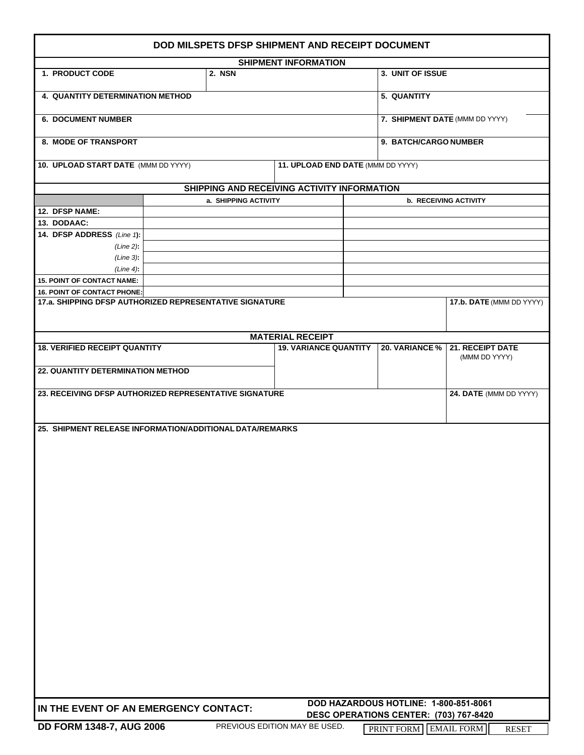| DOD MILSPETS DFSP SHIPMENT AND RECEIPT DOCUMENT                                               |                      |                               |  |                                        |                                   |  |
|-----------------------------------------------------------------------------------------------|----------------------|-------------------------------|--|----------------------------------------|-----------------------------------|--|
| <b>SHIPMENT INFORMATION</b>                                                                   |                      |                               |  |                                        |                                   |  |
| 1. PRODUCT CODE                                                                               | 2. NSN               |                               |  | 3. UNIT OF ISSUE                       |                                   |  |
| 4. QUANTITY DETERMINATION METHOD<br>5. QUANTITY                                               |                      |                               |  |                                        |                                   |  |
| <b>6. DOCUMENT NUMBER</b>                                                                     |                      |                               |  | 7. SHIPMENT DATE (MMM DD YYYY)         |                                   |  |
| 8. MODE OF TRANSPORT                                                                          |                      |                               |  | 9. BATCH/CARGO NUMBER                  |                                   |  |
| 10. UPLOAD START DATE (MMM DD YYYY)<br>11. UPLOAD END DATE (MMM DD YYYY)                      |                      |                               |  |                                        |                                   |  |
| SHIPPING AND RECEIVING ACTIVITY INFORMATION                                                   |                      |                               |  |                                        |                                   |  |
|                                                                                               | a. SHIPPING ACTIVITY |                               |  |                                        | <b>b. RECEIVING ACTIVITY</b>      |  |
| 12. DFSP NAME:                                                                                |                      |                               |  |                                        |                                   |  |
| 13. DODAAC:                                                                                   |                      |                               |  |                                        |                                   |  |
| 14. DFSP ADDRESS (Line 1):                                                                    |                      |                               |  |                                        |                                   |  |
| $(Line 2)$ :                                                                                  |                      |                               |  |                                        |                                   |  |
| $(Line 3)$ :                                                                                  |                      |                               |  |                                        |                                   |  |
| $(Line 4)$ :                                                                                  |                      |                               |  |                                        |                                   |  |
| <b>15. POINT OF CONTACT NAME:</b>                                                             |                      |                               |  |                                        |                                   |  |
| <b>16. POINT OF CONTACT PHONE:</b><br>17.a. SHIPPING DFSP AUTHORIZED REPRESENTATIVE SIGNATURE |                      |                               |  |                                        | 17.b. DATE (MMM DD YYYY)          |  |
|                                                                                               |                      |                               |  |                                        |                                   |  |
|                                                                                               |                      |                               |  |                                        |                                   |  |
|                                                                                               |                      | <b>MATERIAL RECEIPT</b>       |  |                                        |                                   |  |
| <b>18. VERIFIED RECEIPT QUANTITY</b>                                                          |                      | <b>19. VARIANCE QUANTITY</b>  |  | 20. VARIANCE %                         | 21. RECEIPT DATE                  |  |
|                                                                                               |                      |                               |  |                                        | (MMM DD YYYY)                     |  |
| 22. QUANTITY DETERMINATION METHOD                                                             |                      |                               |  |                                        |                                   |  |
|                                                                                               |                      |                               |  |                                        |                                   |  |
| 23. RECEIVING DFSP AUTHORIZED REPRESENTATIVE SIGNATURE                                        |                      |                               |  |                                        | 24. DATE (MMM DD YYYY)            |  |
|                                                                                               |                      |                               |  |                                        |                                   |  |
|                                                                                               |                      |                               |  |                                        |                                   |  |
| 25. SHIPMENT RELEASE INFORMATION/ADDITIONAL DATA/REMARKS                                      |                      |                               |  |                                        |                                   |  |
|                                                                                               |                      |                               |  |                                        |                                   |  |
|                                                                                               |                      |                               |  |                                        |                                   |  |
|                                                                                               |                      |                               |  |                                        |                                   |  |
|                                                                                               |                      |                               |  |                                        |                                   |  |
|                                                                                               |                      |                               |  |                                        |                                   |  |
|                                                                                               |                      |                               |  |                                        |                                   |  |
|                                                                                               |                      |                               |  |                                        |                                   |  |
|                                                                                               |                      |                               |  |                                        |                                   |  |
|                                                                                               |                      |                               |  |                                        |                                   |  |
|                                                                                               |                      |                               |  |                                        |                                   |  |
|                                                                                               |                      |                               |  |                                        |                                   |  |
|                                                                                               |                      |                               |  |                                        |                                   |  |
|                                                                                               |                      |                               |  |                                        |                                   |  |
|                                                                                               |                      |                               |  |                                        |                                   |  |
|                                                                                               |                      |                               |  |                                        |                                   |  |
|                                                                                               |                      |                               |  |                                        |                                   |  |
|                                                                                               |                      |                               |  |                                        |                                   |  |
|                                                                                               |                      |                               |  |                                        |                                   |  |
|                                                                                               |                      |                               |  |                                        |                                   |  |
|                                                                                               |                      |                               |  |                                        |                                   |  |
|                                                                                               |                      |                               |  |                                        |                                   |  |
|                                                                                               |                      |                               |  |                                        |                                   |  |
|                                                                                               |                      |                               |  |                                        |                                   |  |
| DOD HAZARDOUS HOTLINE: 1-800-851-8061<br>IN THE EVENT OF AN EMERGENCY CONTACT:                |                      |                               |  |                                        |                                   |  |
|                                                                                               |                      |                               |  | DESC OPERATIONS CENTER: (703) 767-8420 |                                   |  |
| DD FORM 1348-7, AUG 2006                                                                      |                      | PREVIOUS EDITION MAY BE USED. |  | PRINT FORM                             | <b>EMAIL FORM</b><br><b>RESET</b> |  |